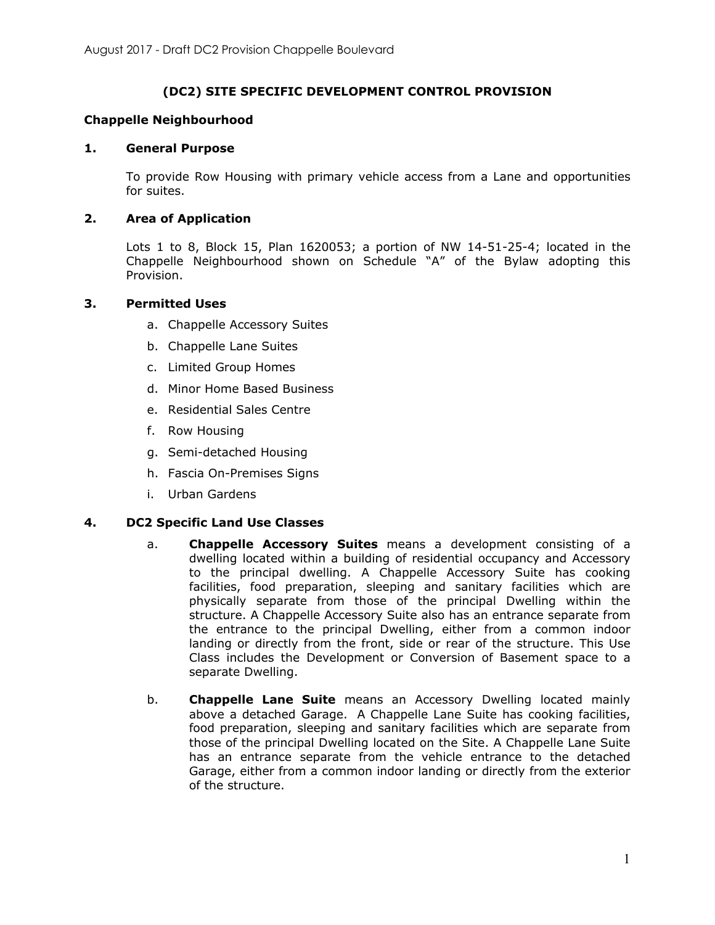# **(DC2) SITE SPECIFIC DEVELOPMENT CONTROL PROVISION**

## **Chappelle Neighbourhood**

### **1. General Purpose**

To provide Row Housing with primary vehicle access from a Lane and opportunities for suites.

## **2. Area of Application**

Lots 1 to 8, Block 15, Plan 1620053; a portion of NW 14-51-25-4; located in the Chappelle Neighbourhood shown on Schedule "A" of the Bylaw adopting this Provision.

### **3. Permitted Uses**

- a. Chappelle Accessory Suites
- b. Chappelle Lane Suites
- c. Limited Group Homes
- d. Minor Home Based Business
- e. Residential Sales Centre
- f. Row Housing
- g. Semi-detached Housing
- h. Fascia On-Premises Signs
- i. Urban Gardens

#### **4. DC2 Specific Land Use Classes**

- a. **Chappelle Accessory Suites** means a development consisting of a dwelling located within a building of residential occupancy and Accessory to the principal dwelling. A Chappelle Accessory Suite has cooking facilities, food preparation, sleeping and sanitary facilities which are physically separate from those of the principal Dwelling within the structure. A Chappelle Accessory Suite also has an entrance separate from the entrance to the principal Dwelling, either from a common indoor landing or directly from the front, side or rear of the structure. This Use Class includes the Development or Conversion of Basement space to a separate Dwelling.
- b. **Chappelle Lane Suite** means an Accessory Dwelling located mainly above a detached Garage. A Chappelle Lane Suite has cooking facilities, food preparation, sleeping and sanitary facilities which are separate from those of the principal Dwelling located on the Site. A Chappelle Lane Suite has an entrance separate from the vehicle entrance to the detached Garage, either from a common indoor landing or directly from the exterior of the structure.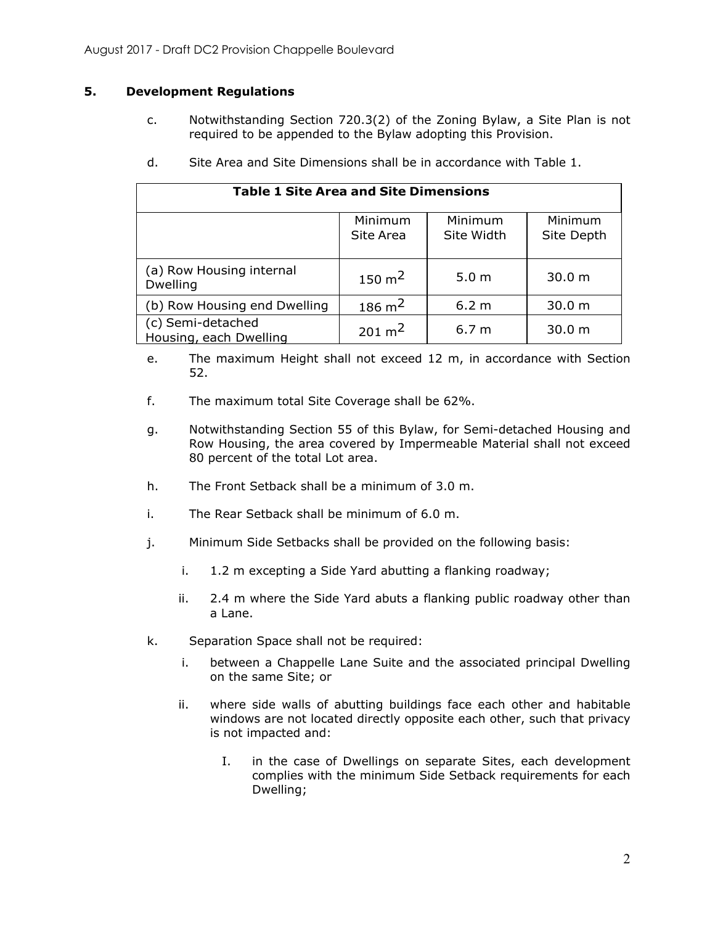# **5. Development Regulations**

c. Notwithstanding Section 720.3(2) of the Zoning Bylaw, a Site Plan is not required to be appended to the Bylaw adopting this Provision.

| <b>Table 1 Site Area and Site Dimensions</b> |                      |                       |                       |
|----------------------------------------------|----------------------|-----------------------|-----------------------|
|                                              | Minimum<br>Site Area | Minimum<br>Site Width | Minimum<br>Site Depth |
| (a) Row Housing internal<br><b>Dwelling</b>  | $150 \text{ m}^2$    | 5.0 <sub>m</sub>      | 30.0 m                |
| (b) Row Housing end Dwelling                 | $186 \text{ m}^2$    | 6.2 <sub>m</sub>      | 30.0 <sub>m</sub>     |
| (c) Semi-detached<br>Housing, each Dwelling  | $201 \text{ m}^2$    | 6.7 <sub>m</sub>      | 30.0 m                |

d. Site Area and Site Dimensions shall be in accordance with Table 1.

- e. The maximum Height shall not exceed 12 m, in accordance with Section 52.
- f. The maximum total Site Coverage shall be 62%.
- g. Notwithstanding Section 55 of this Bylaw, for Semi-detached Housing and Row Housing, the area covered by Impermeable Material shall not exceed 80 percent of the total Lot area.
- h. The Front Setback shall be a minimum of 3.0 m.
- i. The Rear Setback shall be minimum of 6.0 m.
- j. Minimum Side Setbacks shall be provided on the following basis:
	- i. 1.2 m excepting a Side Yard abutting a flanking roadway;
	- ii. 2.4 m where the Side Yard abuts a flanking public roadway other than a Lane.
- k. Separation Space shall not be required:
	- i. between a Chappelle Lane Suite and the associated principal Dwelling on the same Site; or
	- ii. where side walls of abutting buildings face each other and habitable windows are not located directly opposite each other, such that privacy is not impacted and:
		- I. in the case of Dwellings on separate Sites, each development complies with the minimum Side Setback requirements for each Dwelling;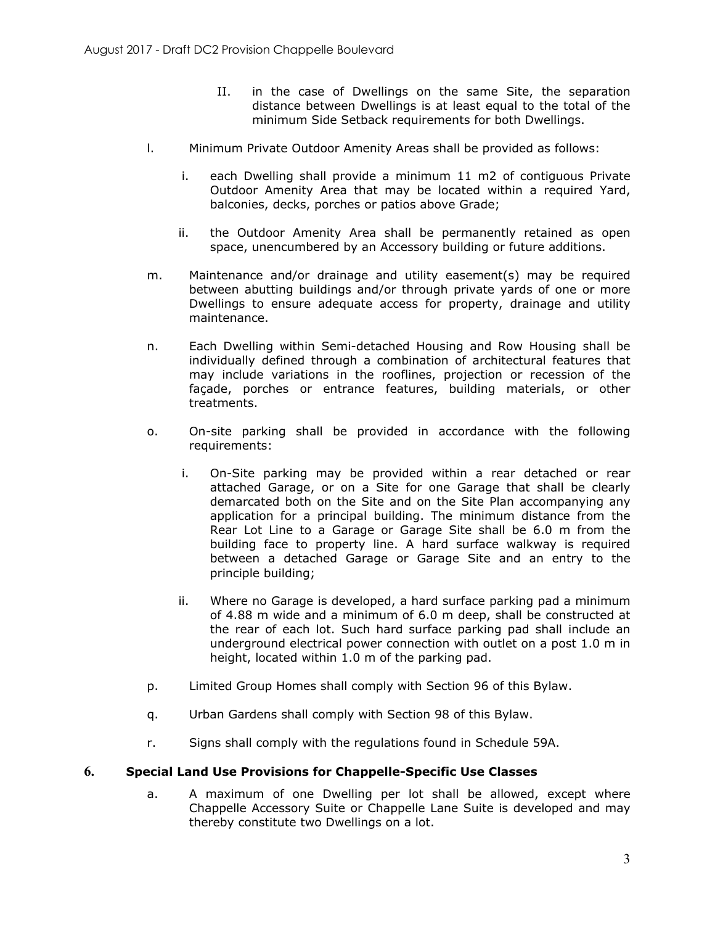- II. in the case of Dwellings on the same Site, the separation distance between Dwellings is at least equal to the total of the minimum Side Setback requirements for both Dwellings.
- l. Minimum Private Outdoor Amenity Areas shall be provided as follows:
	- i. each Dwelling shall provide a minimum 11 m2 of contiguous Private Outdoor Amenity Area that may be located within a required Yard, balconies, decks, porches or patios above Grade;
	- ii. the Outdoor Amenity Area shall be permanently retained as open space, unencumbered by an Accessory building or future additions.
- m. Maintenance and/or drainage and utility easement(s) may be required between abutting buildings and/or through private yards of one or more Dwellings to ensure adequate access for property, drainage and utility maintenance.
- n. Each Dwelling within Semi-detached Housing and Row Housing shall be individually defined through a combination of architectural features that may include variations in the rooflines, projection or recession of the façade, porches or entrance features, building materials, or other treatments.
- o. On-site parking shall be provided in accordance with the following requirements:
	- i. On-Site parking may be provided within a rear detached or rear attached Garage, or on a Site for one Garage that shall be clearly demarcated both on the Site and on the Site Plan accompanying any application for a principal building. The minimum distance from the Rear Lot Line to a Garage or Garage Site shall be 6.0 m from the building face to property line. A hard surface walkway is required between a detached Garage or Garage Site and an entry to the principle building;
	- ii. Where no Garage is developed, a hard surface parking pad a minimum of 4.88 m wide and a minimum of 6.0 m deep, shall be constructed at the rear of each lot. Such hard surface parking pad shall include an underground electrical power connection with outlet on a post 1.0 m in height, located within 1.0 m of the parking pad.
- p. Limited Group Homes shall comply with Section 96 of this Bylaw.
- q. Urban Gardens shall comply with Section 98 of this Bylaw.
- r. Signs shall comply with the regulations found in Schedule 59A.

#### **6. Special Land Use Provisions for Chappelle-Specific Use Classes**

a. A maximum of one Dwelling per lot shall be allowed, except where Chappelle Accessory Suite or Chappelle Lane Suite is developed and may thereby constitute two Dwellings on a lot.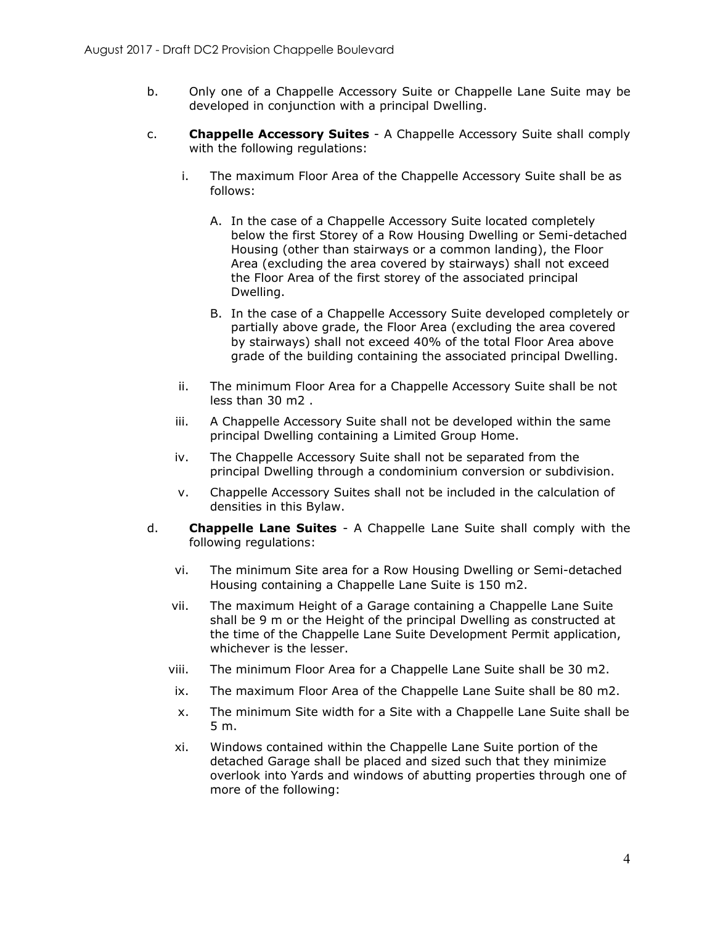- b. Only one of a Chappelle Accessory Suite or Chappelle Lane Suite may be developed in conjunction with a principal Dwelling.
- c. **Chappelle Accessory Suites** A Chappelle Accessory Suite shall comply with the following regulations:
	- i. The maximum Floor Area of the Chappelle Accessory Suite shall be as follows:
		- A. In the case of a Chappelle Accessory Suite located completely below the first Storey of a Row Housing Dwelling or Semi-detached Housing (other than stairways or a common landing), the Floor Area (excluding the area covered by stairways) shall not exceed the Floor Area of the first storey of the associated principal Dwelling.
		- B. In the case of a Chappelle Accessory Suite developed completely or partially above grade, the Floor Area (excluding the area covered by stairways) shall not exceed 40% of the total Floor Area above grade of the building containing the associated principal Dwelling.
	- ii. The minimum Floor Area for a Chappelle Accessory Suite shall be not less than 30 m2 .
	- iii. A Chappelle Accessory Suite shall not be developed within the same principal Dwelling containing a Limited Group Home.
	- iv. The Chappelle Accessory Suite shall not be separated from the principal Dwelling through a condominium conversion or subdivision.
	- v. Chappelle Accessory Suites shall not be included in the calculation of densities in this Bylaw.
- d. **Chappelle Lane Suites** A Chappelle Lane Suite shall comply with the following regulations:
	- vi. The minimum Site area for a Row Housing Dwelling or Semi-detached Housing containing a Chappelle Lane Suite is 150 m2.
	- vii. The maximum Height of a Garage containing a Chappelle Lane Suite shall be 9 m or the Height of the principal Dwelling as constructed at the time of the Chappelle Lane Suite Development Permit application, whichever is the lesser.
	- viii. The minimum Floor Area for a Chappelle Lane Suite shall be 30 m2.
	- ix. The maximum Floor Area of the Chappelle Lane Suite shall be 80 m2.
	- x. The minimum Site width for a Site with a Chappelle Lane Suite shall be 5 m.
	- xi. Windows contained within the Chappelle Lane Suite portion of the detached Garage shall be placed and sized such that they minimize overlook into Yards and windows of abutting properties through one of more of the following: